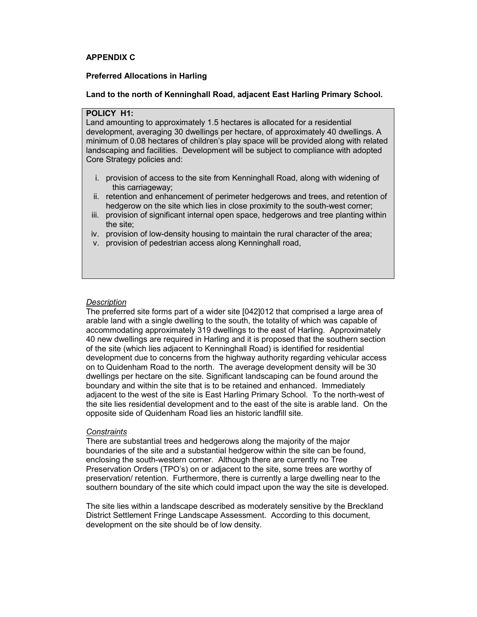# APPENDIX C

#### Preferred Allocations in Harling

#### Land to the north of Kenninghall Road, adjacent East Harling Primary School.

## POLICY H1:

Land amounting to approximately 1.5 hectares is allocated for a residential development, averaging 30 dwellings per hectare, of approximately 40 dwellings. A minimum of 0.08 hectares of children's play space will be provided along with related landscaping and facilities. Development will be subject to compliance with adopted Core Strategy policies and:

- i. provision of access to the site from Kenninghall Road, along with widening of this carriageway;
- ii. retention and enhancement of perimeter hedgerows and trees, and retention of hedgerow on the site which lies in close proximity to the south-west corner;
- iii. provision of significant internal open space, hedgerows and tree planting within the site;
- iv. provision of low-density housing to maintain the rural character of the area;
- v. provision of pedestrian access along Kenninghall road,

#### **Description**

The preferred site forms part of a wider site [042]012 that comprised a large area of arable land with a single dwelling to the south, the totality of which was capable of accommodating approximately 319 dwellings to the east of Harling. Approximately 40 new dwellings are required in Harling and it is proposed that the southern section of the site (which lies adjacent to Kenninghall Road) is identified for residential development due to concerns from the highway authority regarding vehicular access on to Quidenham Road to the north. The average development density will be 30 dwellings per hectare on the site. Significant landscaping can be found around the boundary and within the site that is to be retained and enhanced. Immediately adjacent to the west of the site is East Harling Primary School. To the north-west of the site lies residential development and to the east of the site is arable land. On the opposite side of Quidenham Road lies an historic landfill site.

#### **Constraints**

There are substantial trees and hedgerows along the majority of the major boundaries of the site and a substantial hedgerow within the site can be found, enclosing the south-western corner. Although there are currently no Tree Preservation Orders (TPO's) on or adjacent to the site, some trees are worthy of preservation/ retention. Furthermore, there is currently a large dwelling near to the southern boundary of the site which could impact upon the way the site is developed.

The site lies within a landscape described as moderately sensitive by the Breckland District Settlement Fringe Landscape Assessment. According to this document, development on the site should be of low density.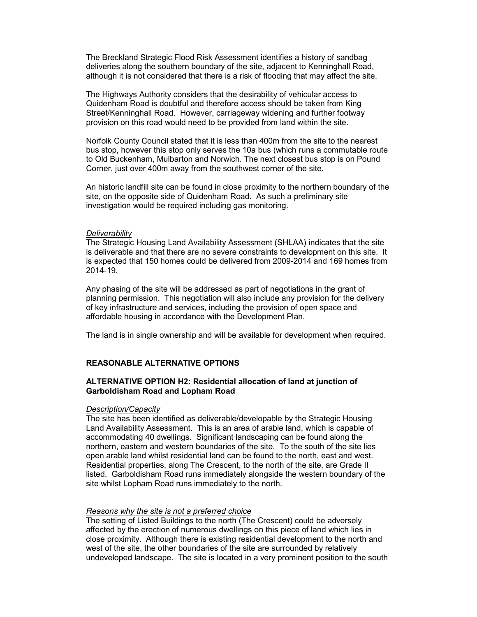The Breckland Strategic Flood Risk Assessment identifies a history of sandbag deliveries along the southern boundary of the site, adjacent to Kenninghall Road, although it is not considered that there is a risk of flooding that may affect the site.

The Highways Authority considers that the desirability of vehicular access to Quidenham Road is doubtful and therefore access should be taken from King Street/Kenninghall Road. However, carriageway widening and further footway provision on this road would need to be provided from land within the site.

Norfolk County Council stated that it is less than 400m from the site to the nearest bus stop, however this stop only serves the 10a bus (which runs a commutable route to Old Buckenham, Mulbarton and Norwich. The next closest bus stop is on Pound Corner, just over 400m away from the southwest corner of the site.

An historic landfill site can be found in close proximity to the northern boundary of the site, on the opposite side of Quidenham Road. As such a preliminary site investigation would be required including gas monitoring.

#### **Deliverability**

The Strategic Housing Land Availability Assessment (SHLAA) indicates that the site is deliverable and that there are no severe constraints to development on this site. It is expected that 150 homes could be delivered from 2009-2014 and 169 homes from 2014-19.

Any phasing of the site will be addressed as part of negotiations in the grant of planning permission. This negotiation will also include any provision for the delivery of key infrastructure and services, including the provision of open space and affordable housing in accordance with the Development Plan.

The land is in single ownership and will be available for development when required.

#### REASONABLE ALTERNATIVE OPTIONS

## ALTERNATIVE OPTION H2: Residential allocation of land at junction of Garboldisham Road and Lopham Road

#### Description/Capacity

The site has been identified as deliverable/developable by the Strategic Housing Land Availability Assessment. This is an area of arable land, which is capable of accommodating 40 dwellings. Significant landscaping can be found along the northern, eastern and western boundaries of the site. To the south of the site lies open arable land whilst residential land can be found to the north, east and west. Residential properties, along The Crescent, to the north of the site, are Grade II listed. Garboldisham Road runs immediately alongside the western boundary of the site whilst Lopham Road runs immediately to the north.

#### Reasons why the site is not a preferred choice

The setting of Listed Buildings to the north (The Crescent) could be adversely affected by the erection of numerous dwellings on this piece of land which lies in close proximity. Although there is existing residential development to the north and west of the site, the other boundaries of the site are surrounded by relatively undeveloped landscape. The site is located in a very prominent position to the south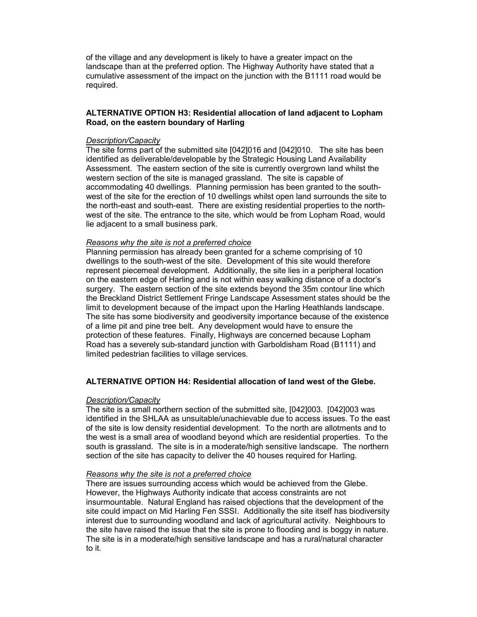of the village and any development is likely to have a greater impact on the landscape than at the preferred option. The Highway Authority have stated that a cumulative assessment of the impact on the junction with the B1111 road would be required.

## ALTERNATIVE OPTION H3: Residential allocation of land adjacent to Lopham Road, on the eastern boundary of Harling

## Description/Capacity

The site forms part of the submitted site [042]016 and [042]010. The site has been identified as deliverable/developable by the Strategic Housing Land Availability Assessment. The eastern section of the site is currently overgrown land whilst the western section of the site is managed grassland. The site is capable of accommodating 40 dwellings. Planning permission has been granted to the southwest of the site for the erection of 10 dwellings whilst open land surrounds the site to the north-east and south-east. There are existing residential properties to the northwest of the site. The entrance to the site, which would be from Lopham Road, would lie adjacent to a small business park.

#### Reasons why the site is not a preferred choice

Planning permission has already been granted for a scheme comprising of 10 dwellings to the south-west of the site. Development of this site would therefore represent piecemeal development. Additionally, the site lies in a peripheral location on the eastern edge of Harling and is not within easy walking distance of a doctor's surgery. The eastern section of the site extends beyond the 35m contour line which the Breckland District Settlement Fringe Landscape Assessment states should be the limit to development because of the impact upon the Harling Heathlands landscape. The site has some biodiversity and geodiversity importance because of the existence of a lime pit and pine tree belt. Any development would have to ensure the protection of these features. Finally, Highways are concerned because Lopham Road has a severely sub-standard junction with Garboldisham Road (B1111) and limited pedestrian facilities to village services.

# ALTERNATIVE OPTION H4: Residential allocation of land west of the Glebe.

## Description/Capacity

The site is a small northern section of the submitted site, [042]003. [042]003 was identified in the SHLAA as unsuitable/unachievable due to access issues. To the east of the site is low density residential development. To the north are allotments and to the west is a small area of woodland beyond which are residential properties. To the south is grassland. The site is in a moderate/high sensitive landscape. The northern section of the site has capacity to deliver the 40 houses required for Harling.

## Reasons why the site is not a preferred choice

There are issues surrounding access which would be achieved from the Glebe. However, the Highways Authority indicate that access constraints are not insurmountable. Natural England has raised objections that the development of the site could impact on Mid Harling Fen SSSI. Additionally the site itself has biodiversity interest due to surrounding woodland and lack of agricultural activity. Neighbours to the site have raised the issue that the site is prone to flooding and is boggy in nature. The site is in a moderate/high sensitive landscape and has a rural/natural character to it.